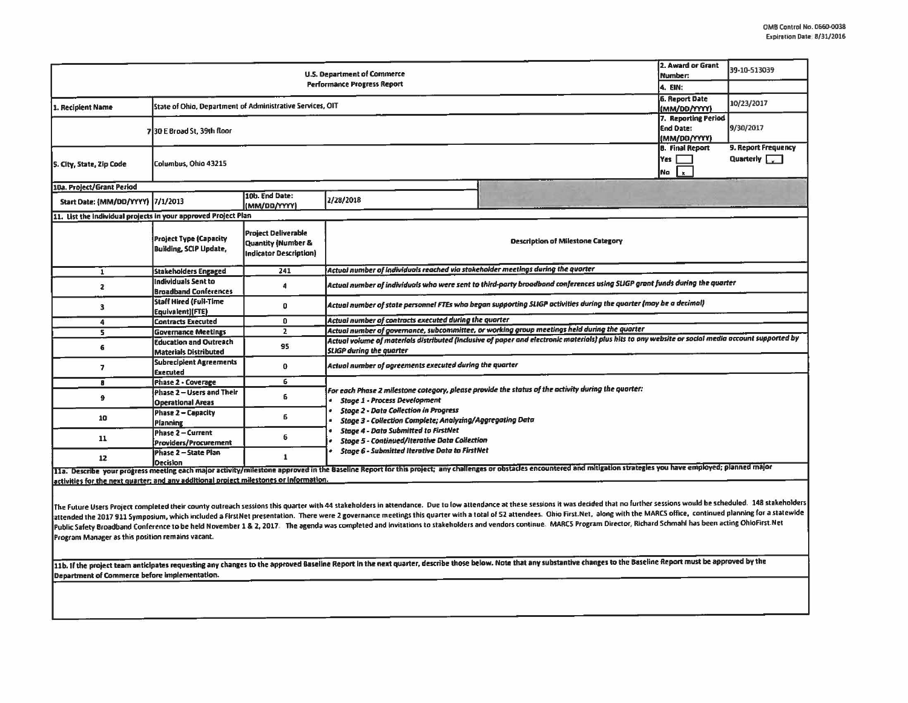| <b>U.S. Department of Commerce</b>                                                     |                                                                 |                                                                                              |                                                                                                                                                                                                                                                                                 |                                          | 2. Award or Grant<br>Number:                            | 39-10-513039                              |  |  |  |
|----------------------------------------------------------------------------------------|-----------------------------------------------------------------|----------------------------------------------------------------------------------------------|---------------------------------------------------------------------------------------------------------------------------------------------------------------------------------------------------------------------------------------------------------------------------------|------------------------------------------|---------------------------------------------------------|-------------------------------------------|--|--|--|
| <b>Performance Progress Report</b><br>4. EIN:                                          |                                                                 |                                                                                              |                                                                                                                                                                                                                                                                                 |                                          |                                                         |                                           |  |  |  |
| 1. Recipient Name                                                                      | State of Ohio, Department of Administrative Services, OIT       |                                                                                              |                                                                                                                                                                                                                                                                                 |                                          |                                                         | 10/23/2017                                |  |  |  |
|                                                                                        | 730 E Broad St. 39th floor                                      |                                                                                              |                                                                                                                                                                                                                                                                                 |                                          | 7. Reporting Period<br><b>End Date:</b><br>(MM/DD/YYYY) | 9/30/2017                                 |  |  |  |
| 5. City, State, Zip Code                                                               | <b>B.</b> Final Report<br>Yes  <br>Columbus, Ohio 43215<br>No x |                                                                                              |                                                                                                                                                                                                                                                                                 |                                          |                                                         | 9. Report Frequency<br>Quarterly <b>T</b> |  |  |  |
| 10a. Project/Grant Period                                                              |                                                                 |                                                                                              |                                                                                                                                                                                                                                                                                 |                                          |                                                         |                                           |  |  |  |
| Start Date: (MM/DD/YYYY)  7/1/2013                                                     |                                                                 | 10b. End Date:<br>(MM/DD/YYYY)                                                               | 2/28/2018                                                                                                                                                                                                                                                                       |                                          |                                                         |                                           |  |  |  |
| 11. List the individual projects in your approved Project Plan                         |                                                                 |                                                                                              |                                                                                                                                                                                                                                                                                 |                                          |                                                         |                                           |  |  |  |
|                                                                                        | <b>Project Type (Capacity</b><br><b>Building, SCIP Update,</b>  | <b>Project Deliverable</b><br><b>Quantity (Number &amp;</b><br><b>Indicator Description)</b> |                                                                                                                                                                                                                                                                                 | <b>Description of Milestone Category</b> |                                                         |                                           |  |  |  |
| $\mathbf{1}$                                                                           | <b>Stakeholders Engaged</b>                                     | 241                                                                                          | Actual number of individuals reached via stakeholder meetings during the quarter                                                                                                                                                                                                |                                          |                                                         |                                           |  |  |  |
| $\overline{z}$                                                                         | Individuals Sent to<br><b>Broadband Conferences</b>             | $\ddot{a}$                                                                                   | Actual number of individuals who were sent to third-party broadband conferences using SLIGP grant funds during the quarter                                                                                                                                                      |                                          |                                                         |                                           |  |  |  |
| $\mathbf{3}$                                                                           | <b>Staff Hired (Full-Time</b><br>Equivalent)(FTE)               | Ω                                                                                            | Actual number of state personnel FTEs who began supporting SLIGP activities during the quarter (may be a decimal)                                                                                                                                                               |                                          |                                                         |                                           |  |  |  |
| 4                                                                                      | <b>Contracts Executed</b>                                       | $\mathbf{0}$                                                                                 | Actual number of contracts executed during the quarter                                                                                                                                                                                                                          |                                          |                                                         |                                           |  |  |  |
| 5.                                                                                     | <b>Governance Meetings</b>                                      | $\overline{2}$                                                                               | Actual number of governance, subcommittee, or working group meetings held during the quarter                                                                                                                                                                                    |                                          |                                                         |                                           |  |  |  |
| 6                                                                                      | <b>Education and Outreach</b><br><b>Materials Distributed</b>   | 95                                                                                           | Actual volume of materials distributed (inclusive of paper and electronic materials) plus hits to any website or social media account supported by<br><b>SLIGP during the quarter</b>                                                                                           |                                          |                                                         |                                           |  |  |  |
| $\overline{ }$                                                                         | <b>Subrecipient Agreements</b><br><b>Executed</b>               | $\bf{0}$                                                                                     | Actual number of agreements executed during the quarter                                                                                                                                                                                                                         |                                          |                                                         |                                           |  |  |  |
| $\mathbf{a}$                                                                           | Phase 2 - Coverage                                              | 6                                                                                            |                                                                                                                                                                                                                                                                                 |                                          |                                                         |                                           |  |  |  |
| $\mathbf{9}$                                                                           | Phase 2 - Users and Their<br><b>Operational Areas</b>           | 6                                                                                            | For each Phase 2 milestone category, please provide the status of the activity during the quarter:<br><b>Stage 1 - Process Development</b><br><b>Stage 2 - Data Collection in Progress</b><br><b>Stage 3 - Collection Complete; Analyzing/Aggregating Data</b>                  |                                          |                                                         |                                           |  |  |  |
| 10                                                                                     | <b>Phase 2 - Capacity</b><br>Planning                           | 6                                                                                            |                                                                                                                                                                                                                                                                                 |                                          |                                                         |                                           |  |  |  |
| 11                                                                                     | <b>Phase 2 - Current</b><br>Providers/Procurement               | 6                                                                                            | <b>Stage 4 - Data Submitted to FirstNet</b><br><b>Stage 5 - Continued/Iterative Data Collection</b>                                                                                                                                                                             |                                          |                                                         |                                           |  |  |  |
| 12                                                                                     | Phase 2 - State Plan<br><b>Decision</b>                         | $\mathbf{1}$                                                                                 | <b>Stage 6 - Submitted Iterative Data to FirstNet</b><br>11a. Describe your progress meeting each major activity/milestone approved in the Baseline Report for this project; any challenges or obstacles encountered and mitigation strategies you have employed; planned major |                                          |                                                         |                                           |  |  |  |
| activities for the next quarter; and any additional project milestones or information. |                                                                 |                                                                                              |                                                                                                                                                                                                                                                                                 |                                          |                                                         |                                           |  |  |  |

The Future Users Project completed their county outreach sessions this quarter with 44 stakeholders in attendance. Due to low attendance at these sessions it was decided that no further sessions would be scheduled. 148 sta attended the 2017 911 Symposium, which included a FirstNet presentation. There were 2 governance meetings this quarter with a total of 52 attendees. Ohio First.Net, along with the MARCS office, continued planning for a sta Public Safety Broadband Conference to be held November 1 & 2, 2017. The agenda was completed and invitations to stakeholders and vendors continue. MARCS Program Director, Richard Schmahl has been acting OhioFirst Net Program Manager as this position remains vacant.

11b. If the project team anticipates requesting any changes to the approved Baseline Report in the next quarter, describe those below. Note that any substantive changes to the Baseline Report must be approved by the Department of Commerce before implementation.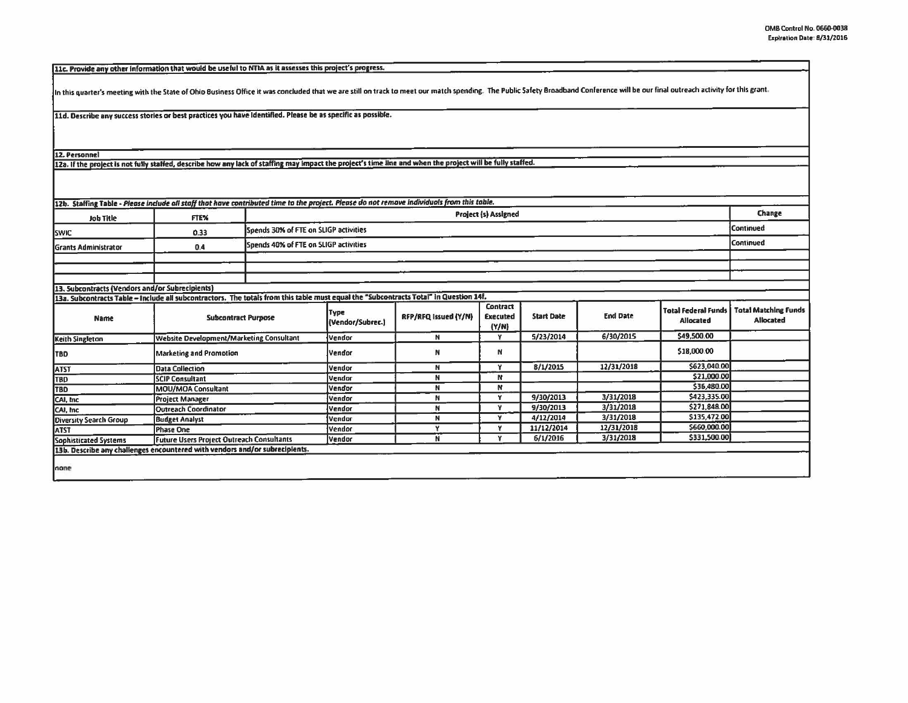[11c. Provide any other information that would be useful to NTIA as it assesses this project's progress.

In this quarter's meeting with the State of Ohio Business Office it was concluded that we are still on track to meet our match spending. The Public Safety Broadband Conference will be our final outreach activity for this g

11d. Describe any success stories or best practices you have Identified. Please be as specific as possible.

12. Personnel

12a. If the project is not fully staffed, describe how any lack of staffing may impact the project's time line and when the project will be fully staffed.

| <b>Job Title</b>     | <b>FTEX</b> | <b>Project (s) Assigned</b>           |                  |  |
|----------------------|-------------|---------------------------------------|------------------|--|
| <b>SWIC</b>          | 0.33        | Spends 30% of FTE on SLIGP activities | <b>Continued</b> |  |
| Grants Administrator | 0.4         | Spends 40% of FTE on SLIGP activities | <b>Continued</b> |  |
|                      |             |                                       |                  |  |
|                      |             |                                       |                  |  |

13a. Subcontracts Table - Include all subcontractors. The totals from this table must equal the "Subcontracts Total" In Question 14f.

| Name                   | <b>Subcontract Purpose</b>                                                  | Type<br>(Vendor/Subrec.) | RFP/RFQ Issued (Y/N) | <b>Contract</b><br><b>Executed</b><br>(Y/N) | <b>Start Date</b> | <b>End Date</b> | Total Federal Funds I<br>Allocated | <b>Total Matching Funds</b><br>Allocated |
|------------------------|-----------------------------------------------------------------------------|--------------------------|----------------------|---------------------------------------------|-------------------|-----------------|------------------------------------|------------------------------------------|
| Keith Singleton        | <b>Website Development/Marketing Consultant</b>                             | Vendor                   |                      |                                             | 5/23/2014         | 6/30/2015       | \$49,500.00                        |                                          |
| <b>TBD</b>             | <b>Marketing and Promotion</b>                                              | Vendor                   | N                    | N                                           |                   |                 | \$18,000.00                        |                                          |
| <b>ATST</b>            | <b>Data Collection</b>                                                      | <b>Vendor</b>            |                      |                                             | 8/1/2015          | 12/31/2018      | \$623,040.00                       |                                          |
| TBD                    | <b>SCIP Consultant</b>                                                      | Vendor                   |                      | N                                           |                   |                 | \$21,000.00                        |                                          |
| <b>TBD</b>             | MOU/MOA Consultant                                                          | <b>Vendor</b>            |                      | N                                           |                   |                 | \$36,480.00                        |                                          |
| CAI, Inc.              | <b>Project Manager</b>                                                      | Vendor                   |                      |                                             | 9/30/2013         | 3/31/2018       | \$423,335.00                       |                                          |
| CAI, Inc.              | Outreach Coordinator                                                        | Vendor                   |                      |                                             | 9/30/2013         | 3/31/2018       | \$271,848.00                       |                                          |
| Diversity Search Group | <b>Budget Analyst</b>                                                       | Vendor                   |                      |                                             | 4/12/2014         | 3/31/2018       | \$135,472.00                       |                                          |
| <b>ATST</b>            | Phase One                                                                   | Vendor                   |                      |                                             | 11/12/2014        | 12/31/2018      | 5660,000.00                        |                                          |
| Sophisticated Systems  | Future Users Project Outreach Consultants                                   | Vendor                   |                      |                                             | 6/1/2016          | 3/31/2018       | \$331,500.00                       |                                          |
|                        | 13b. Describe any challenges encountered with vendors and/or subrecipients. |                          |                      |                                             |                   |                 |                                    |                                          |
| none                   |                                                                             |                          |                      |                                             |                   |                 |                                    |                                          |